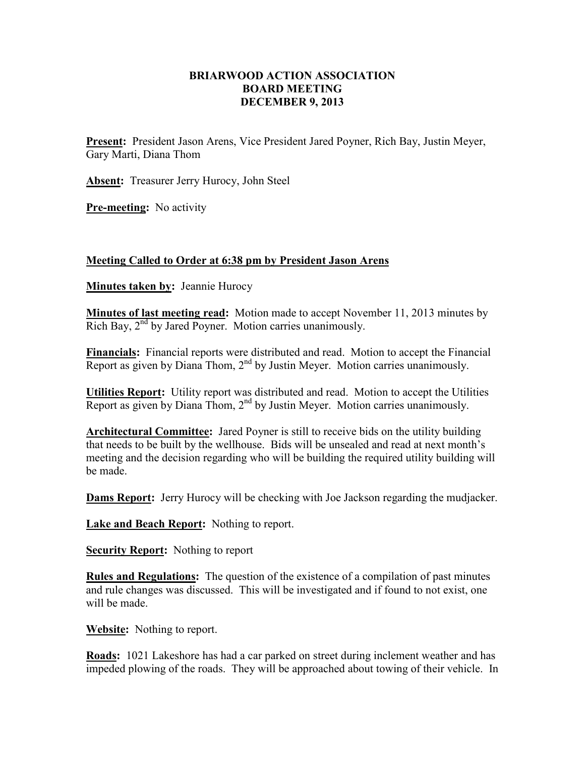## **BRIARWOOD ACTION ASSOCIATION BOARD MEETING DECEMBER 9, 2013**

**Present:** President Jason Arens, Vice President Jared Poyner, Rich Bay, Justin Meyer, Gary Marti, Diana Thom

**Absent:** Treasurer Jerry Hurocy, John Steel

**Pre-meeting:** No activity

## **Meeting Called to Order at 6:38 pm by President Jason Arens**

**Minutes taken by:** Jeannie Hurocy

**Minutes of last meeting read:** Motion made to accept November 11, 2013 minutes by Rich Bay, 2<sup>nd</sup> by Jared Poyner. Motion carries unanimously.

**Financials:** Financial reports were distributed and read. Motion to accept the Financial Report as given by Diana Thom,  $2<sup>nd</sup>$  by Justin Meyer. Motion carries unanimously.

**Utilities Report:** Utility report was distributed and read. Motion to accept the Utilities Report as given by Diana Thom, 2<sup>nd</sup> by Justin Meyer. Motion carries unanimously.

**Architectural Committee:** Jared Poyner is still to receive bids on the utility building that needs to be built by the wellhouse. Bids will be unsealed and read at next month's meeting and the decision regarding who will be building the required utility building will be made.

**Dams Report:** Jerry Hurocy will be checking with Joe Jackson regarding the mudjacker.

**Lake and Beach Report:** Nothing to report.

**Security Report:** Nothing to report

**Rules and Regulations:** The question of the existence of a compilation of past minutes and rule changes was discussed. This will be investigated and if found to not exist, one will be made.

**Website:** Nothing to report.

**Roads:** 1021 Lakeshore has had a car parked on street during inclement weather and has impeded plowing of the roads. They will be approached about towing of their vehicle. In